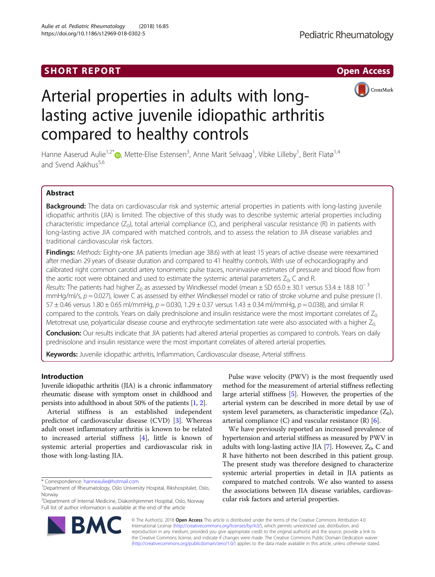# SHORT REPORT **The Contract of Contract Contract Contract Contract Contract Contract Contract Contract Contract Contract Contract Contract Contract Contract Contract Contract Contract Contract Contract Contract Contract Con**



# Arterial properties in adults with longlasting active juvenile idiopathic arthritis compared to healthy controls

Hanne Aaserud Aulie<sup>1[,](http://orcid.org/0000-0003-2207-2235)2\*</sup>®, Mette-Elise Estensen<sup>3</sup>, Anne Marit Selvaag<sup>1</sup>, Vibke Lilleby<sup>1</sup>, Berit Flatø<sup>1,4</sup> and Svend Aakhus<sup>5,6</sup>

# Abstract

Background: The data on cardiovascular risk and systemic arterial properties in patients with long-lasting juvenile idiopathic arthritis (JIA) is limited. The objective of this study was to describe systemic arterial properties including characteristic impedance  $(Z_0)$ , total arterial compliance  $(C)$ , and peripheral vascular resistance  $(R)$  in patients with long-lasting active JIA compared with matched controls, and to assess the relation to JIA disease variables and traditional cardiovascular risk factors.

Findings: Methods: Eighty-one JIA patients (median age 38.6) with at least 15 years of active disease were reexamined after median 29 years of disease duration and compared to 41 healthy controls. With use of echocardiography and calibrated right common carotid artery tonometric pulse traces, noninvasive estimates of pressure and blood flow from the aortic root were obtained and used to estimate the systemic arterial parameters  $Z_0$ , C and R.

Results: The patients had higher  $Z_0$  as assessed by Windkessel model (mean ± SD 65.0 ± 30.1 versus 53.4 ± 18.8 10<sup>-3</sup> mmHg/ml/s,  $p = 0.027$ ), lower C as assessed by either Windkessel model or ratio of stroke volume and pulse pressure (1. 57 ± 0.46 versus 1.80 ± 0.65 ml/mmHg,  $p = 0.030$ , 1.29 ± 0.37 versus 1.43 ± 0.34 ml/mmHg,  $p = 0.038$ ), and similar R compared to the controls. Years on daily prednisolone and insulin resistance were the most important correlates of  $Z_0$ . Metotrexat use, polyarticular disease course and erythrocyte sedimentation rate were also associated with a higher  $Z_0$ .

Conclusion: Our results indicate that JIA patients had altered arterial properties as compared to controls. Years on daily prednisolone and insulin resistance were the most important correlates of altered arterial properties.

Keywords: Juvenile idiopathic arthritis, Inflammation, Cardiovascular disease, Arterial stiffness

# Introduction

Juvenile idiopathic arthritis (JIA) is a chronic inflammatory rheumatic disease with symptom onset in childhood and persists into adulthood in about 50% of the patients [\[1,](#page-5-0) [2](#page-5-0)].

Arterial stiffness is an established independent predictor of cardiovascular disease (CVD) [\[3](#page-5-0)]. Whereas adult onset inflammatory arthritis is known to be related to increased arterial stiffness [[4\]](#page-5-0), little is known of systemic arterial properties and cardiovascular risk in those with long-lasting JIA.

2 Department of Internal Medicine, Diakonhjemmet Hospital, Oslo, Norway Full list of author information is available at the end of the article

Pulse wave velocity (PWV) is the most frequently used method for the measurement of arterial stiffness reflecting large arterial stiffness [[5](#page-5-0)]. However, the properties of the arterial system can be described in more detail by use of system level parameters, as characteristic impedance  $(Z_0)$ , arterial compliance  $(C)$  and vascular resistance  $(R)$  [\[6](#page-5-0)].

We have previously reported an increased prevalence of hypertension and arterial stiffness as measured by PWV in adults with long-lasting active JIA  $[7]$  $[7]$  $[7]$ . However,  $Z_0$ , C and R have hitherto not been described in this patient group. The present study was therefore designed to characterize systemic arterial properties in detail in JIA patients as compared to matched controls. We also wanted to assess the associations between JIA disease variables, cardiovascular risk factors and arterial properties.



© The Author(s). 2018 Open Access This article is distributed under the terms of the Creative Commons Attribution 4.0 International License [\(http://creativecommons.org/licenses/by/4.0/](http://creativecommons.org/licenses/by/4.0/)), which permits unrestricted use, distribution, and reproduction in any medium, provided you give appropriate credit to the original author(s) and the source, provide a link to the Creative Commons license, and indicate if changes were made. The Creative Commons Public Domain Dedication waiver [\(http://creativecommons.org/publicdomain/zero/1.0/](http://creativecommons.org/publicdomain/zero/1.0/)) applies to the data made available in this article, unless otherwise stated.

<sup>\*</sup> Correspondence: [hanneaulie@hotmail.com](mailto:hanneaulie@hotmail.com) <sup>1</sup>

<sup>&</sup>lt;sup>1</sup>Department of Rheumatology, Oslo University Hospital, Rikshospitalet, Oslo, Norway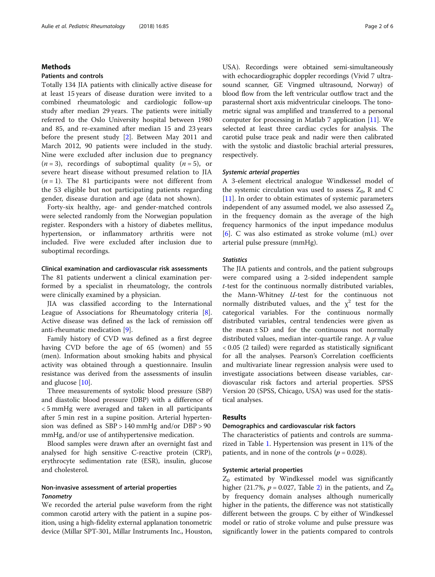# Methods

# Patients and controls

Totally 134 JIA patients with clinically active disease for at least 15 years of disease duration were invited to a combined rheumatologic and cardiologic follow-up study after median 29 years. The patients were initially referred to the Oslo University hospital between 1980 and 85, and re-examined after median 15 and 23 years before the present study [[2\]](#page-5-0). Between May 2011 and March 2012, 90 patients were included in the study. Nine were excluded after inclusion due to pregnancy  $(n = 3)$ , recordings of suboptimal quality  $(n = 5)$ , or severe heart disease without presumed relation to JIA  $(n = 1)$ . The 81 participants were not different from the 53 eligible but not participating patients regarding gender, disease duration and age (data not shown).

Forty-six healthy, age- and gender-matched controls were selected randomly from the Norwegian population register. Responders with a history of diabetes mellitus, hypertension, or inflammatory arthritis were not included. Five were excluded after inclusion due to suboptimal recordings.

# Clinical examination and cardiovascular risk assessments

The 81 patients underwent a clinical examination performed by a specialist in rheumatology, the controls were clinically examined by a physician.

JIA was classified according to the International League of Associations for Rheumatology criteria [\[8](#page-5-0)]. Active disease was defined as the lack of remission off anti-rheumatic medication [[9\]](#page-5-0).

Family history of CVD was defined as a first degree having CVD before the age of 65 (women) and 55 (men). Information about smoking habits and physical activity was obtained through a questionnaire. Insulin resistance was derived from the assessments of insulin and glucose [\[10\]](#page-5-0).

Three measurements of systolic blood pressure (SBP) and diastolic blood pressure (DBP) with a difference of < 5 mmHg were averaged and taken in all participants after 5 min rest in a supine position. Arterial hypertension was defined as SBP > 140 mmHg and/or DBP > 90 mmHg, and/or use of antihypertensive medication.

Blood samples were drawn after an overnight fast and analysed for high sensitive C-reactive protein (CRP), erythrocyte sedimentation rate (ESR), insulin, glucose and cholesterol.

# Non-invasive assessment of arterial properties **Tonometry**

We recorded the arterial pulse waveform from the right common carotid artery with the patient in a supine position, using a high-fidelity external applanation tonometric device (Millar SPT-301, Millar Instruments Inc., Houston, USA). Recordings were obtained semi-simultaneously with echocardiographic doppler recordings (Vivid 7 ultrasound scanner, GE Vingmed ultrasound, Norway) of blood flow from the left ventricular outflow tract and the parasternal short axis midventricular cineloops. The tonometric signal was amplified and transferred to a personal computer for processing in Matlab 7 application [\[11](#page-5-0)]. We selected at least three cardiac cycles for analysis. The carotid pulse trace peak and nadir were then calibrated with the systolic and diastolic brachial arterial pressures, respectively.

#### Systemic arterial properties

A 3-element electrical analogue Windkessel model of the systemic circulation was used to assess  $Z_0$ , R and C [[11\]](#page-5-0). In order to obtain estimates of systemic parameters independent of any assumed model, we also assessed  $Z_0$ in the frequency domain as the average of the high frequency harmonics of the input impedance modulus [[6\]](#page-5-0). C was also estimated as stroke volume (mL) over arterial pulse pressure (mmHg).

## **Statistics**

The JIA patients and controls, and the patient subgroups were compared using a 2-sided independent sample t-test for the continuous normally distributed variables, the Mann-Whitney U-test for the continuous not normally distributed values, and the  $\chi^2$  test for the categorical variables. For the continuous normally distributed variables, central tendencies were given as the mean  $\pm$  SD and for the continuous not normally distributed values, median inter-quartile range. A  $p$  value < 0.05 (2 tailed) were regarded as statistically significant for all the analyses. Pearson's Correlation coefficients and multivariate linear regression analysis were used to investigate associations between disease variables, cardiovascular risk factors and arterial properties. SPSS Version 20 (SPSS, Chicago, USA) was used for the statistical analyses.

# Results

# Demographics and cardiovascular risk factors

The characteristics of patients and controls are summarized in Table [1](#page-2-0). Hypertension was present in 11% of the patients, and in none of the controls ( $p = 0.028$ ).

# Systemic arterial properties

 $Z_0$  estimated by Windkessel model was significantly higher ([2](#page-3-0)1.7%,  $p = 0.027$ , Table 2) in the patients, and  $Z_0$ by frequency domain analyses although numerically higher in the patients, the difference was not statistically different between the groups. C by either of Windkessel model or ratio of stroke volume and pulse pressure was significantly lower in the patients compared to controls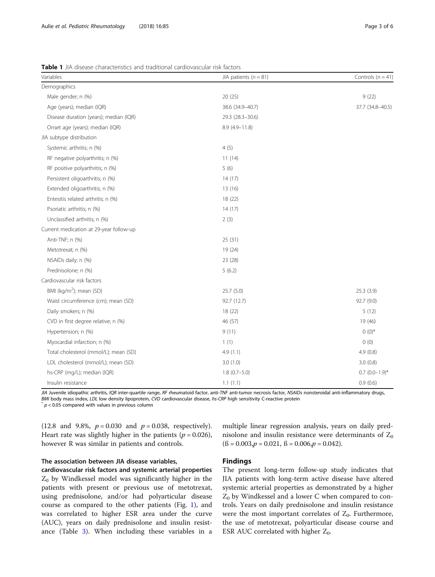<span id="page-2-0"></span>Table 1 JIA disease characteristics and traditional cardiovascular risk factors

| Variables                               | JIA patients $(n = 81)$ | Controls $(n = 41)$ |  |
|-----------------------------------------|-------------------------|---------------------|--|
| Demographics                            |                         |                     |  |
| Male gender; n (%)                      | 20 (25)                 | 9(22)               |  |
| Age (years); median (IQR)               | 38.6 (34.9-40.7)        | 37.7 (34.8-40.5)    |  |
| Disease duration (years); median (IQR)  | 29.3 (28.3-30.6)        |                     |  |
| Onset age (years); median (IQR)         | $8.9(4.9 - 11.8)$       |                     |  |
| JIA subtype distribution                |                         |                     |  |
| Systemic arthritis; n (%)               | 4(5)                    |                     |  |
| RF negative polyarthritis; n (%)        | 11(14)                  |                     |  |
| RF positive polyarthritis; n (%)        | 5(6)                    |                     |  |
| Persistent oligoarthritis; n (%)        | 14(17)                  |                     |  |
| Extended oligoarthritis; n (%)          | 13 (16)                 |                     |  |
| Entesitis related arthritis; n (%)      | 18 (22)                 |                     |  |
| Psoriatic arthritis; n (%)              | 14(17)                  |                     |  |
| Unclassified arthritis; n (%)           | 2(3)                    |                     |  |
| Current medication at 29-year follow-up |                         |                     |  |
| Anti-TNF; n (%)                         | 25(31)                  |                     |  |
| Metotrexat; n (%)                       | 19 (24)                 |                     |  |
| NSAIDs daily; n (%)                     | 23 (28)                 |                     |  |
| Prednisolone; n (%)                     | 5(6.2)                  |                     |  |
| Cardiovascular risk factors             |                         |                     |  |
| BMI (kg/m <sup>2</sup> ); mean (SD)     | 25.7 (5.0)              | 25.3 (3.9)          |  |
| Waist circumference (cm); mean (SD)     | 92.7 (12.7)             | 92.7 (9.0)          |  |
| Daily smokers; n (%)                    | 18 (22)                 | 5(12)               |  |
| CVD in first degree relative; n (%)     | 46 (57)                 | 19 (46)             |  |
| Hypertension; n (%)                     | 9(11)                   | $0(0)^*$            |  |
| Myocardial infarction; n (%)            | 1(1)                    | 0(0)                |  |
| Total cholesterol (mmol/L); mean (SD)   | 4.9(1.1)                | 4.9(0.8)            |  |
| LDL cholesterol (mmol/L); mean (SD)     | 3.0(1.0)                | 3.0(0.8)            |  |
| hs-CRP (mg/L); median (IQR)             | $1.8(0.7-5.0)$          | $0.7$ $(0.0-1.9)$ * |  |
| Insulin resistance                      | 1.1(1.1)                | 0.9(0.6)            |  |

JIA Juvenile idiopathic arthritis, IQR inter-quartile range, RF rheumatoid factor, anti-TNF anti-tumor necrosis factor, NSAIDs nonsteroidal anti-inflammatory drugs, BMI body mass index, LDL low density lipoprotein, CVD cardiovascular disease, hs-CRP high sensitivity C-reactive protein  $* p < 0.05$  compared with values in previous column

(12.8 and 9.8%,  $p = 0.030$  and  $p = 0.038$ , respectively). Heart rate was slightly higher in the patients ( $p = 0.026$ ), however R was similar in patients and controls.

# The association between JIA disease variables,

cardiovascular risk factors and systemic arterial properties  $Z_0$  by Windkessel model was significantly higher in the patients with present or previous use of metotrexat, using prednisolone, and/or had polyarticular disease course as compared to the other patients (Fig. [1\)](#page-3-0), and was correlated to higher ESR area under the curve (AUC), years on daily prednisolone and insulin resistance (Table [3](#page-4-0)). When including these variables in a

multiple linear regression analysis, years on daily prednisolone and insulin resistance were determinants of  $Z_0$  $(\text{fs} = 0.003, p = 0.021, \text{fs} = 0.006, p = 0.042).$ 

# Findings

The present long-term follow-up study indicates that JIA patients with long-term active disease have altered systemic arterial properties as demonstrated by a higher  $Z_0$  by Windkessel and a lower C when compared to controls. Years on daily prednisolone and insulin resistance were the most important correlates of  $Z_0$ . Furthermore, the use of metotrexat, polyarticular disease course and ESR AUC correlated with higher  $Z_0$ .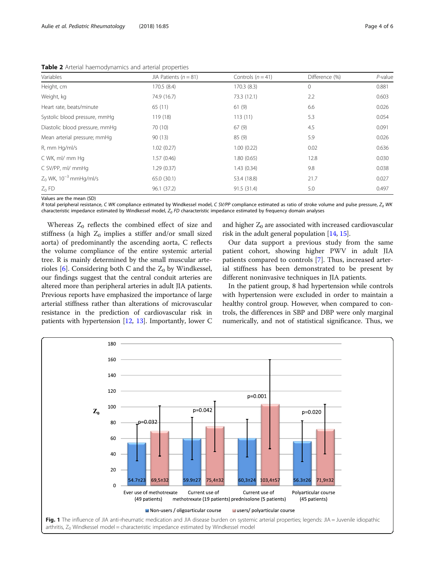<span id="page-3-0"></span>Table 2 Arterial haemodynamics and arterial properties

| Variables                      | JIA Patients ( $n = 81$ ) | Controls $(n = 41)$ | Difference (%) | P-value |
|--------------------------------|---------------------------|---------------------|----------------|---------|
| Height, cm                     | 170.5(8.4)                | 170.3(8.3)          | 0              | 0.881   |
| Weight, kg                     | 74.9 (16.7)               | 73.3 (12.1)         | 2.2            | 0.603   |
| Heart rate, beats/minute       | 65(11)                    | 61(9)               | 6.6            | 0.026   |
| Systolic blood pressure, mmHg  | 119(18)                   | 113(11)             | 5.3            | 0.054   |
| Diastolic blood pressure, mmHg | 70 (10)                   | 67(9)               | 4.5            | 0.091   |
| Mean arterial pressure; mmHg   | 90(13)                    | 85 (9)              | 5.9            | 0.026   |
| R, mm Hg/ml/s                  | 1.02(0.27)                | 1.00(0.22)          | 0.02           | 0.636   |
| C WK, ml/ mm Hq                | 1.57(0.46)                | 1.80(0.65)          | 12.8           | 0.030   |
| C SV/PP, ml/ mmHq              | 1.29(0.37)                | 1.43(0.34)          | 9.8            | 0.038   |
| $Z_0$ WK, $10^{-3}$ mmHg/ml/s  | 65.0 (30.1)               | 53.4 (18.8)         | 21.7           | 0.027   |
| $Z_0$ FD                       | 96.1(37.2)                | 91.5 (31.4)         | 5.0            | 0.497   |

Values are the mean (SD)

R total peripheral resistance, C WK compliance estimated by Windkessel model, C SV/PP compliance estimated as ratio of stroke volume and pulse pressure,  $Z_0$  WK characteristic impedance estimated by Windkessel model,  $Z_0$  FD characteristic impedance estimated by frequency domain analyses

Whereas  $Z_0$  reflects the combined effect of size and stiffness (a high  $Z_0$  implies a stiffer and/or small sized aorta) of predominantly the ascending aorta, C reflects the volume compliance of the entire systemic arterial tree. R is mainly determined by the small muscular arte-rioles [[6\]](#page-5-0). Considering both C and the  $Z_0$  by Windkessel, our findings suggest that the central conduit arteries are altered more than peripheral arteries in adult JIA patients. Previous reports have emphasized the importance of large arterial stiffness rather than alterations of microvascular resistance in the prediction of cardiovascular risk in patients with hypertension [\[12,](#page-5-0) [13](#page-5-0)]. Importantly, lower C

and higher  $Z_0$  are associated with increased cardiovascular risk in the adult general population [\[14,](#page-5-0) [15\]](#page-5-0).

Our data support a previous study from the same patient cohort, showing higher PWV in adult JIA patients compared to controls [[7\]](#page-5-0). Thus, increased arterial stiffness has been demonstrated to be present by different noninvasive techniques in JIA patients.

In the patient group, 8 had hypertension while controls with hypertension were excluded in order to maintain a healthy control group. However, when compared to controls, the differences in SBP and DBP were only marginal numerically, and not of statistical significance. Thus, we

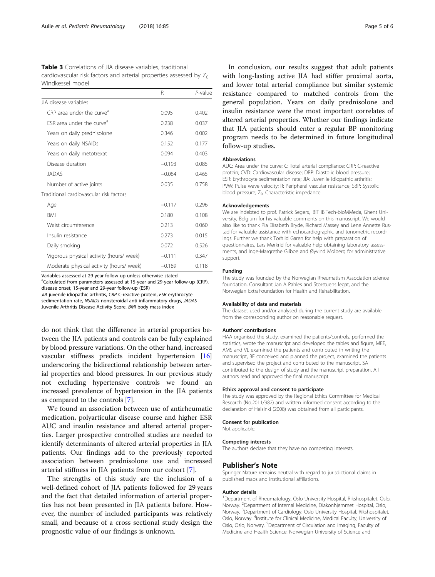<span id="page-4-0"></span>

| <b>Table 3</b> Correlations of JIA disease variables, traditional     |  |
|-----------------------------------------------------------------------|--|
| cardiovascular risk factors and arterial properties assessed by $Z_0$ |  |
| Windkessel model                                                      |  |

|                                          | R        | $P$ -value |
|------------------------------------------|----------|------------|
| JIA disease variables                    |          |            |
| CRP area under the curve <sup>a</sup>    | 0.095    | 0.402      |
| FSR area under the curve <sup>a</sup>    | 0.238    | 0.037      |
| Years on daily prednisolone              | 0.346    | 0.002      |
| Years on daily NSAIDs                    | 0.152    | 0.177      |
| Years on daily metotrexat                | 0.094    | 0.403      |
| Disease duration                         | $-0.193$ | 0.085      |
| <b>JADAS</b>                             | $-0.084$ | 0.465      |
| Number of active joints                  | 0.035    | 0.758      |
| Traditional cardiovascular risk factors  |          |            |
| Age                                      | $-0.117$ | 0.296      |
| <b>BMI</b>                               | 0.180    | 0.108      |
| Waist circumference                      | 0.213    | 0.060      |
| Insulin resistance                       | 0.273    | 0.015      |
| Daily smoking                            | 0.072    | 0.526      |
| Vigorous physical activity (hours/ week) | $-0.111$ | 0.347      |
| Moderate physical activity (hours/ week) | $-0.189$ | 0.118      |

Variables assessed at 29-year follow-up unless otherwise stated

<sup>a</sup>Calculated from parameters assessed at 15-year and 29-year follow-up (CRP), disease onset, 15-year and 29-year follow-up (ESR)

JIA juvenile idiopathic arthritis, CRP C-reactive protein, ESR erythrocyte sedimentation rate, NSAIDs nonsteroidal anti-inflammatory drugs, JADAS

Juvenile Arthritis Disease Activity Score, BMI body mass index

do not think that the difference in arterial properties between the JIA patients and controls can be fully explained by blood pressure variations. On the other hand, increased vascular stiffness predicts incident hypertension [[16](#page-5-0)] underscoring the bidirectional relationship between arterial properties and blood pressures. In our previous study not excluding hypertensive controls we found an increased prevalence of hypertension in the JIA patients as compared to the controls [\[7](#page-5-0)].

We found an association between use of antirheumatic medication, polyarticular disease course and higher ESR AUC and insulin resistance and altered arterial properties. Larger prospective controlled studies are needed to identify determinants of altered arterial properties in JIA patients. Our findings add to the previously reported association between prednisolone use and increased arterial stiffness in JIA patients from our cohort [\[7\]](#page-5-0).

The strengths of this study are the inclusion of a well-defined cohort of JIA patients followed for 29 years and the fact that detailed information of arterial properties has not been presented in JIA patients before. However, the number of included participants was relatively small, and because of a cross sectional study design the prognostic value of our findings is unknown.

In conclusion, our results suggest that adult patients with long-lasting active JIA had stiffer proximal aorta, and lower total arterial compliance but similar systemic resistance compared to matched controls from the general population. Years on daily prednisolone and insulin resistance were the most important correlates of altered arterial properties. Whether our findings indicate that JIA patients should enter a regular BP monitoring program needs to be determined in future longitudinal follow-up studies.

#### Abbreviations

AUC: Area under the curve; C: Total arterial compliance; CRP: C-reactive protein; CVD: Cardiovascular disease; DBP: Diastolic blood pressure; ESR: Erythrocyte sedimentation rate; JIA: Juvenile idiopathic arthritis; PVW: Pulse wave velocity; R: Peripheral vascular resistance; SBP: Systolic blood pressure; Z<sub>0</sub>: Characteristic impedance

#### Acknowledgements

We are indebted to prof. Patrick Segers, IBIT IBiTech-bioMMeda, Ghent University, Belgium for his valuable comments on this manuscript. We would also like to thank Pia Elisabeth Bryde, Richard Massey and Lene Annette Rustad for valuable assistance with echocardiographic and tonometric recordings. Further we thank Torhild Garen for help with preparation of questionnaires, Lars Mørkrid for valuable help obtaining laboratory assessments, and Inge-Margrethe Gilboe and Øyvind Molberg for administrative support.

#### Funding

The study was founded by the Norwegian Rheumatism Association science foundation, Consultant Jan A Pahles and Storstuens legat, and the Norwegian ExtraFoundation for Health and Rehabilitation.

#### Availability of data and materials

The dataset used and/or analysed during the current study are available from the corresponding author on reasonable request.

#### Authors' contributions

HAA organised the study, examined the patients/controls, performed the statistics, wrote the manuscript and developed the tables and figure, MEE, AMS and VL examined the patients and contributed in writing the manuscript, BF conceived and planned the project, examined the patients and supervised the project and contributed to the manuscript, SA contributed to the design of study and the manuscript preparation. All authors read and approved the final manuscript.

#### Ethics approval and consent to participate

The study was approved by the Regional Ethics Committee for Medical Research (No.2011/982) and written informed consent according to the declaration of Helsinki (2008) was obtained from all participants.

## Consent for publication

Not applicable.

# Competing interests

The authors declare that they have no competing interests.

#### Publisher's Note

Springer Nature remains neutral with regard to jurisdictional claims in published maps and institutional affiliations.

#### Author details

<sup>1</sup>Department of Rheumatology, Oslo University Hospital, Rikshospitalet, Oslo, Norway. <sup>2</sup> Department of Internal Medicine, Diakonhjemmet Hospital, Oslo, Norway. <sup>3</sup>Department of Cardiology, Oslo University Hospital, Rikshospitalet, Oslo, Norway. <sup>4</sup>Institute for Clinical Medicine, Medical Faculty, University of Oslo, Oslo, Norway. <sup>5</sup>Department of Circulation and Imaging, Faculty of Medicine and Health Science, Norwegian University of Science and